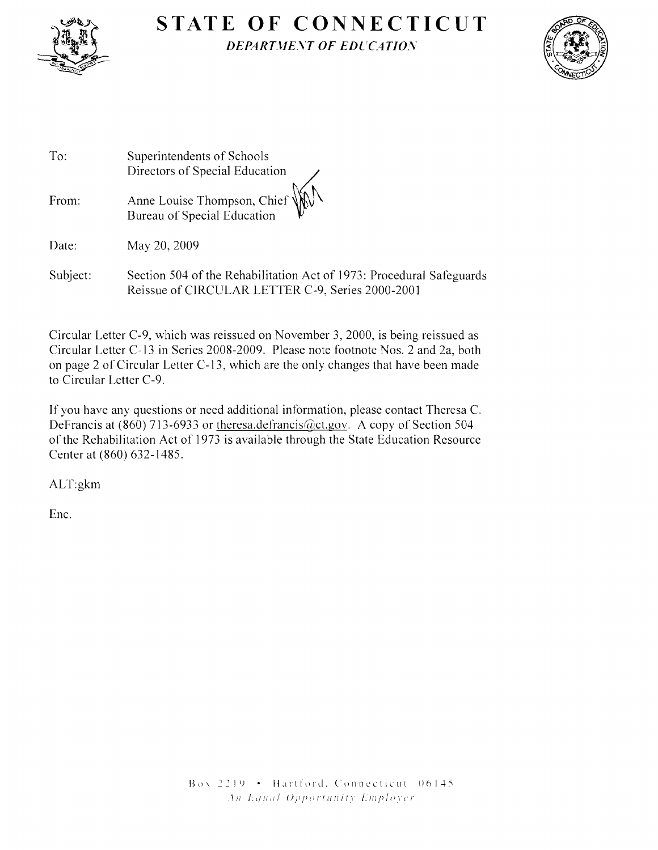

# **STATE OF CONNECTICUT** ~JJJi" *DEPARTJ1E.YT OF EDCCATIOS*



| To:      | Superintendents of Schools<br>Directors of Special Education                                                             |
|----------|--------------------------------------------------------------------------------------------------------------------------|
| From:    | Anne Louise Thompson, Chief WWN<br>Bureau of Special Education                                                           |
| Date:    | May 20, 2009                                                                                                             |
| Subject: | Section 504 of the Rehabilitation Act of 1973: Procedural Safeguards<br>Reissue of CIRCULAR LETTER C-9, Series 2000-2001 |

Circular Letter C-9, which was reissued on November 3, 2000, is being reissued as Circular Letter C-13 in Series 2008-2009. Please note footnote Nos. 2 and 2a, both on page 2 of Circular Letter C-13, which are the only changes that have been made to Circular Letter C-9.

If you have any questions or need additional information, please contact Theresa C. DeFrancis at (860) 713-6933 or theresa.defrancis@ct.gov. A copy of Section 504 of the Rehabilitation Act of 1973 is available through the State Education Resource Center at (860) 632-1485.

ALT:gkm

Ene.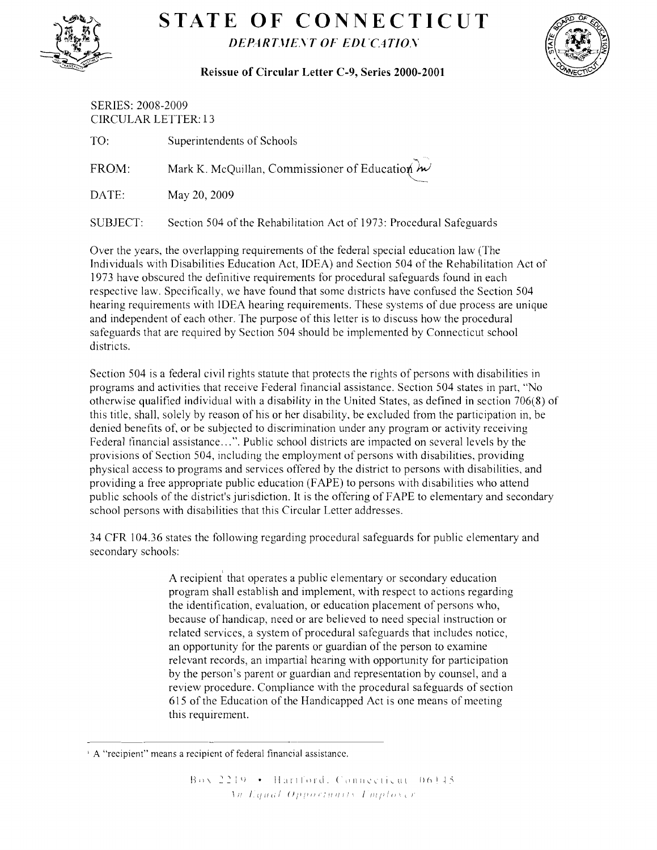

## **STATE OF CONNECTICUT DEPARTMENT OF EDUCATION**



#### **Reissue of Circular Letter C-9, Series 2000-2001**

| <b>SERIES: 2008-2009</b><br><b>CIRCULAR LETTER: 13</b> |                                                            |  |
|--------------------------------------------------------|------------------------------------------------------------|--|
| TO:                                                    | Superintendents of Schools                                 |  |
| FROM:                                                  | Mark K. McQuillan, Commissioner of Education $\mathcal{W}$ |  |
| DATE:                                                  | May 20, 2009                                               |  |
|                                                        |                                                            |  |

SUBJECT: Section 504 of the Rehabilitation Act of 1973: Procedural Safeguards

Over the years, the overlapping requirements of the federal special education law (The Individuals with Disabilities Education Act, IDEA) and Section 504 of the Rehabilitation Act of 1973 have obscured the definitive requirements for procedural safeguards found in each respective law. Specifically, we have found that some districts have confused the Section 504 hearing requirements with IDEA hearing requirements. These systems of due process are unique and independent of each other. The purpose of this letter is to discuss how the procedural safeguards that are required by Section 504 should be implemented by Connecticut school districts.

Section 504 is a federal civil rights statute that protects the rights of persons with disabilities in programs and activities that receive Federal financial assistance. Section 504 states in part, "No otherwise qualified individual with a disability **in** the United States, as defined in section 706(8) of this title, shall, solely by reason of his or her disability, be excluded from the participation in, be denied benefits of, or be subjected to discrimination under any program or activity receiving Federal financial assistance ...". Public school districts are impacted on several levels by the provisions of Section 504, including the employment of persons with disabilities, providing physical access to programs and services offered by the district to persons with disabilities, and providing a free appropriate public education (FAPE) to persons with disabilities who attend public schools of the district's jurisdiction. It is the offering of FAPE to elementary and secondary school persons with disabilities that this Circular Letter addresses.

34 CFR 104.36 states the following regarding procedural safeguards for public elementary and secondary schools:

> A recipient' that operates a public elementary or secondary education program shall establish and implement, with respect to actions regarding the identification, evaluation, or education placement of persons who, because of handicap, need or are believed to need special instruction or related services, a system of procedural safeguards that includes notice, an opportunity for the parents or guardian of the person to examine relevant records, an impartial hearing with opportunity for participation by the person's parent or guardian and representation by counsel, and a review procedure. Compliance with the procedural safeguards of section 615 of the Education of the Handicapped Act is one means of meeting this requirement.

<sup>,</sup> A "recipient" means a recipient of federal financial assistance.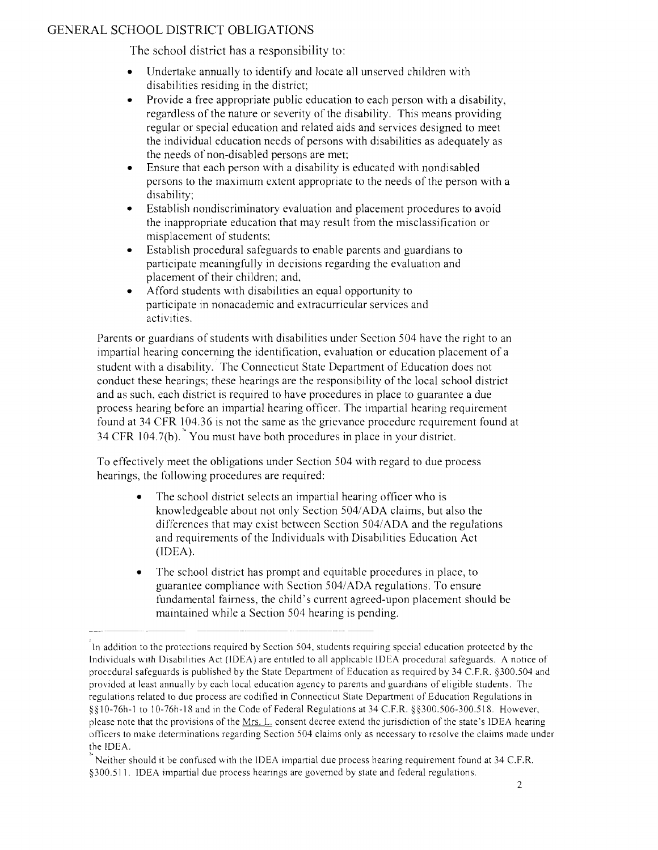## GENERAL SCHOOL DISTRICT OBLIGATIONS

The school district has a responsibility to:

- Undertake annually to identify and locate all unserved children with disabilities residing in the district;
- Provide a free appropriate public education to each person with a disability, regardless of the nature or severity of the disability. This means providing regular or special education and related aids and services designed to meet the individual education needs of persons with disabilities as adequately as the needs of non-disabled persons are met:
- Ensure that each person with a disability is educated with nondisabled persons to the maximum extent appropriate to the needs of the person with a disability;
- Establish nondiscriminatory evaluation and placement procedures to avoid the inappropriate education that may result from the misclassification or misplacement of students;
- Establish procedural safeguards to enable parents and guardians to participate meaningfully in decisions regarding the evaluation and placement of their children; and,
- Afford students with disabilities an equal opportunity to participate in nonacademic and extracurricular services and activities.

Parents or guardians of students with disabilities under Section 504 have the right to an impartial hearing concerning the identification, evaluation or education placement of a student with a disability. The Connecticut State Department of Education does not conduct these hearings; these hearings are the responsibility of the local school district and as such, each district is required to have procedures in place to guarantee a due process hearing before an impartial hearing officer. The impartial hearing requirement found at 34 CFR 104.36 is not the same as the grievance procedure requirement found at 34 CFR 104.7(b). You must have both procedures in place in your district.

To effectively meet the obligations under Section 504 with regard to due process hearings, the following procedures are required:

- The school district selects an impartial hearing officer who is knowledgeable about not only Section 504/ADA claims, but also the differences that may exist between Section 5041ADA and the regulations and requirements of the Individuals with Disabilities Education Act (IDEA).
- The school district has prompt and equitable procedures in place, to guarantee compliance with Section 5041ADA regulations. To ensure fundamental fairness, the child's current agreed-upon placement should be maintained while a Section 504 hearing is pending.

<sup>-</sup>In addition to the protections required by Section 504, students requinng special education protected by the Individuals with Disabilities Act (IDEA) are entitled to all applicable IDEA procedural safeguards. A notice of procedural safeguards is published by the State Department of Education as required by 34 C.F.R. §300.504 and provided at least annually by each local education agcncy to parents and guardians of eligible students. The regulations related to due process are codified in Connecticut State Department of Education Regulations in §§ IO-76h-1 to 10-76h-IS and in the Code of Federal Regulations at 34 C.F.R. §§300.506-300.5IS. However, please note that the provisions of the Mrs. L. consent decree extend the jurisdiction of the state's IDEA hearing officers to make determinations regarding Section 504 claims only as necessary to resolve the claims made under the IDEA.

Neither should it be confused with the IDEA impartial due process hearing requirement found at 34 C.F.R. §300.511. IDEA impartial due process heanngs are governed by state and federal regulations.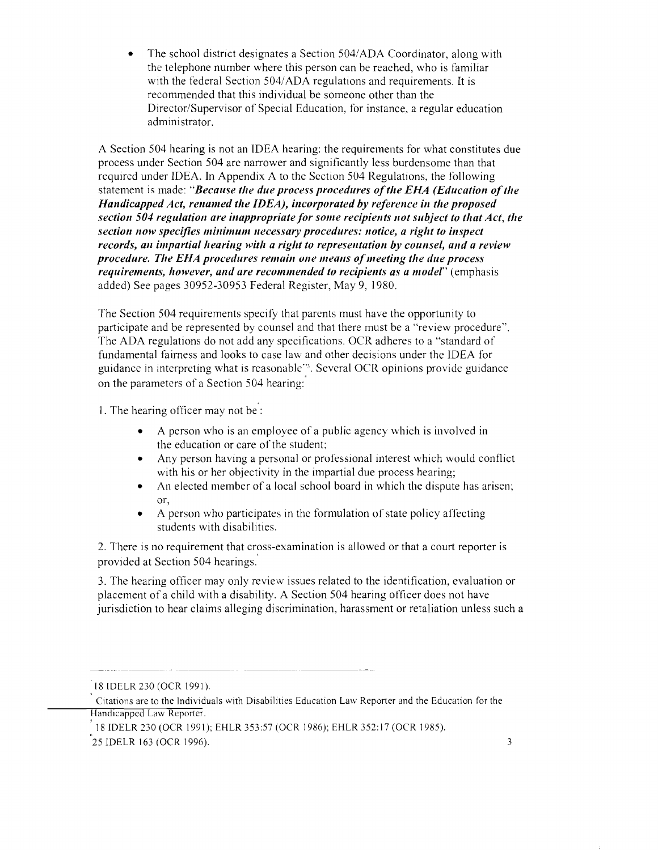The school district designates a Section 504/ADA Coordinator, along with the telephone number where this person can be reached, who is familiar with the federal Section 504/ADA regulations and requirements. It is recommended that this individual be someone other than the Director/Supervisor of Special Education, for instance, a regular education administrator.

A Section 504 hearing is not an IDEA hearing: the requirements for what constitutes due process under Section 504 are narrower and significantly less burdensome than that required under IDEA. In Appendix A to the Section 504 Regulations, the following statement is made: "Because the due process procedures of the EHA (Education of the *Handicapped Act, renamed the IDEA), incorporated by reference in the proposed section 504 regulation are inappropriate for some recipients not subject to tilat Act, tile section now specifies minimum necessary procedures: notice, a right to inspect records, an impartial hearing with a right to representation by counsel, and a review procedure. Tile EHA procedures remain one means ofmeeting tile due process requirements, however, and are recommended to recipients as a model"* (emphasis added) See pages 30952-30953 Federal Register, May 9, 1980.

The Section 504 requirements specify that parents must have the opportunity to participate and be represented by counsel and that there must be a "review procedure". The ADA regulations do not add any specifications. OCR adheres to a "standard of fundamental fairness and looks to case law and other decisions under the IDEA for guidance in interpreting what is reasonable"<sup>3</sup>. Several OCR opinions provide guidance on the parameters of a Section 504 hearing:

1. The hearing officer may not be :

- A person who is an employee of a public agency which is involved in the education or care of the student;
- Any person having a personal or professional interest which would conflict with his or her objectivity in the impartial due process hearing;
- An elected member of a local school board in which the dispute has arisen; or,
- A person who participates in the formulation of state policy affecting students with disabilities.

2. There is no requirement that cross-examination is allowed or that a court reporter is provided at Section 504 hearings.

3. The hearing officer may only review issues related to the identification, evaluation or placement of a child with a disability. A Section 504 hearing officer does not have jurisdiction to hear claims alleging discrimination, harassment or retaliation unless such a

18 IDELR 230 (OCR 1991).

Citations are to the Individuals with Disabilities Education Law Reporter and the Education for the Handicapped Law Reporter.

<sup>18</sup> IDELR 230 (OCR 1991); EHLR 353 :57 (OCR 1986); EHLR 352: 17 (OCR 1985).

 $25$  IDELR 163 (OCR 1996).  $3$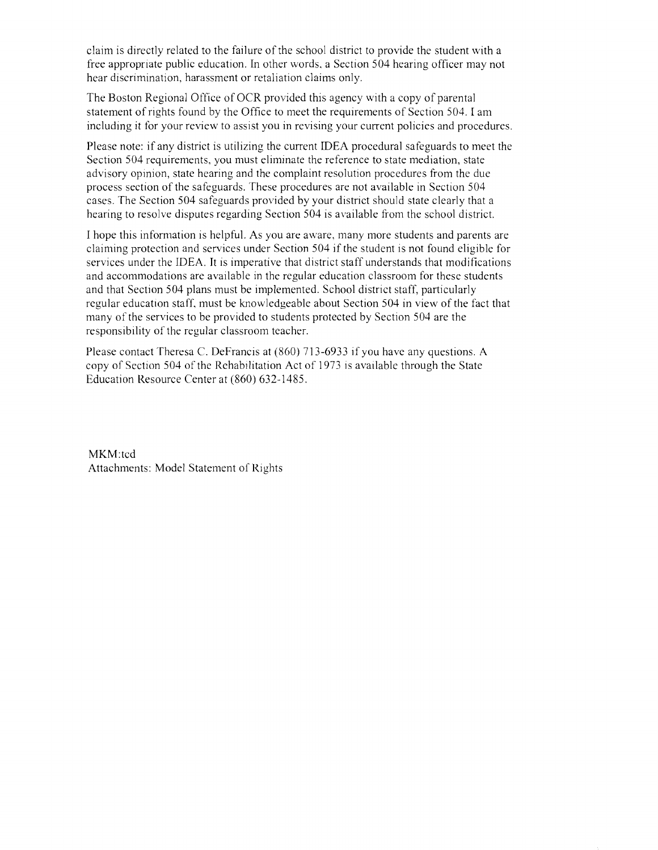claim is directly related to the failure of the school district to provide the student with a free appropriate public education. In other words. a Section 504 hearing officer may not hear discrimination, harassment or retaliation claims only.

The Boston Regional Office of OCR provided this agency with a copy of parental statement of rights found by the Office to meet the requirements of Section 504. I am including it for your review to assist you in revising your current policies and procedures.

Please note: if any district is utilizing the current IDEA procedural safeguards to meet the Section 504 requirements, you must eliminate the reference to state mediation, state advisory opinion, state hearing and the complaint resolution procedures from the due process section of the safeguards. These procedures are not available in Section 504 cases. The Section 504 safeguards provided by your district should state clearly that a hearing to resolve disputes regarding Section 504 is available from the school district.

I hope this information is helpful. As you are aware, many more students and parents are claiming protection and services under Section 504 if the student is not found eligible for services under the IDEA. It is imperative that district staff understands that modifications and accommodations are available in the regular education classroom for these students and that Section 504 plans must be implemented. School district staff, particularly regular education staff, must be knowledgeable about Section 504 in view of the fact that many of the services to be provided to students protected by Section 504 are the responsibility of the regular classroom teacher.

Please contact Theresa C. DeFrancis at (860) 713-6933 if you have any questions. A copy of Section 504 of the Rehabilitation Act of 1973 is available through the State Education Resource Center at (860) 632-1485.

MKM:tcd Attachments: Model Statement of Rights